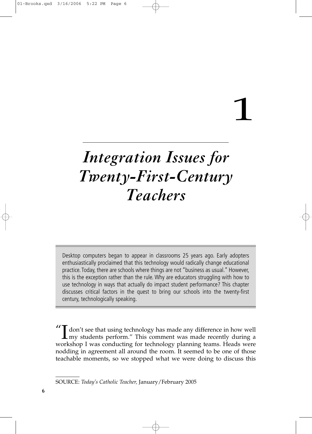# 1

# *Integration Issues for Twenty-First-Century Teachers*

Desktop computers began to appear in classrooms 25 years ago. Early adopters enthusiastically proclaimed that this technology would radically change educational practice. Today, there are schools where things are not "business as usual." However, this is the exception rather than the rule. Why are educators struggling with how to use technology in ways that actually do impact student performance? This chapter discusses critical factors in the quest to bring our schools into the twenty-first century, technologically speaking.

 $''$  don't see that using technology has made any difference in how well<br>my students perform." This comment was made recently during a<br>workshop I was conducting for technology planning teams. Heads were workshop I was conducting for technology planning teams. Heads were nodding in agreement all around the room. It seemed to be one of those teachable moments, so we stopped what we were doing to discuss this

SOURCE: *Today's Catholic Teacher,* January/February 2005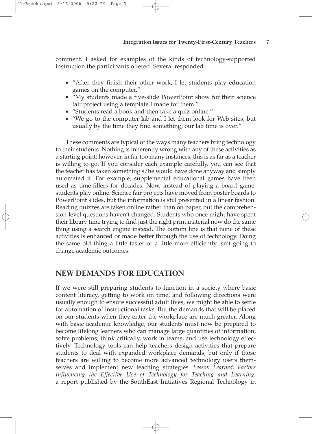comment. I asked for examples of the kinds of technology-supported instruction the participants offered. Several responded:

- "After they finish their other work, I let students play education games on the computer."
- "My students made a five-slide PowerPoint show for their science fair project using a template I made for them."
- "Students read a book and then take a quiz online."
- "We go to the computer lab and I let them look for Web sites; but usually by the time they find something, our lab time is over."

These comments are typical of the ways many teachers bring technology to their students. Nothing is inherently wrong with any of these activities as a starting point; however, in far too many instances, this is as far as a teacher is willing to go. If you consider each example carefully, you can see that the teacher has taken something s/he would have done anyway and simply automated it. For example, supplemental educational games have been used as time-fillers for decades. Now, instead of playing a board game, students play online. Science fair projects have moved from poster boards to PowerPoint slides, but the information is still presented in a linear fashion. Reading quizzes are taken online rather than on paper, but the comprehension-level questions haven't changed. Students who once might have spent their library time trying to find just the right print material now do the same thing using a search engine instead. The bottom line is that none of these activities is enhanced or made better through the use of technology. Doing the same old thing a little faster or a little more efficiently isn't going to change academic outcomes.

### **NEW DEMANDS FOR EDUCATION**

If we were still preparing students to function in a society where basic content literacy, getting to work on time, and following directions were usually enough to ensure successful adult lives, we might be able to settle for automation of instructional tasks. But the demands that will be placed on our students when they enter the workplace are much greater. Along with basic academic knowledge, our students must now be prepared to become lifelong learners who can manage large quantities of information, solve problems, think critically, work in teams, and use technology effectively. Technology tools can help teachers design activities that prepare students to deal with expanded workplace demands, but only if those teachers are willing to become more advanced technology users themselves and implement new teaching strategies. *Lesson Learned: Factors Influencing the Effective Use of Technology for Teaching and Learning,* a report published by the SouthEast Initiatives Regional Technology in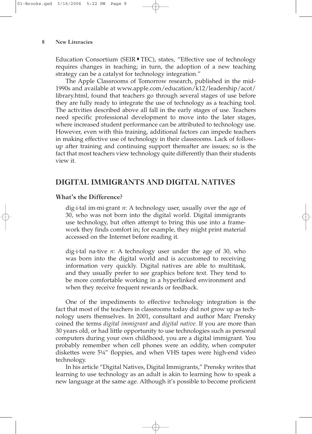#### **8 New Literacies**

Education Consortium (SEIR $\triangle$ TEC), states, "Effective use of technology requires changes in teaching; in turn, the adoption of a new teaching strategy can be a catalyst for technology integration."

The Apple Classrooms of Tomorrow research, published in the mid-1990s and available at www.apple.com/education/k12/leadership/acot/ library.html, found that teachers go through several stages of use before they are fully ready to integrate the use of technology as a teaching tool. The activities described above all fall in the early stages of use. Teachers need specific professional development to move into the later stages, where increased student performance can be attributed to technology use. However, even with this training, additional factors can impede teachers in making effective use of technology in their classrooms. Lack of followup after training and continuing support thereafter are issues; so is the fact that most teachers view technology quite differently than their students view it.

# **DIGITAL IMMIGRANTS AND DIGITAL NATIVES**

#### **What's the Difference?**

dig·i·tal im·mi·grant *n*: A technology user, usually over the age of 30, who was not born into the digital world. Digital immigrants use technology, but often attempt to bring this use into a framework they finds comfort in; for example, they might print material accessed on the Internet before reading it.

dig·i·tal na·tive *n*: A technology user under the age of 30, who was born into the digital world and is accustomed to receiving information very quickly. Digital natives are able to multitask, and they usually prefer to see graphics before text. They tend to be more comfortable working in a hyperlinked environment and when they receive frequent rewards or feedback.

One of the impediments to effective technology integration is the fact that most of the teachers in classrooms today did not grow up as technology users themselves. In 2001, consultant and author Marc Prensky coined the terms *digital immigrant* and *digital native.* If you are more than 30 years old, or had little opportunity to use technologies such as personal computers during your own childhood, you are a digital immigrant. You probably remember when cell phones were an oddity, when computer diskettes were 5¼" floppies, and when VHS tapes were high-end video technology.

In his article "Digital Natives, Digital Immigrants," Prensky writes that learning to use technology as an adult is akin to learning how to speak a new language at the same age. Although it's possible to become proficient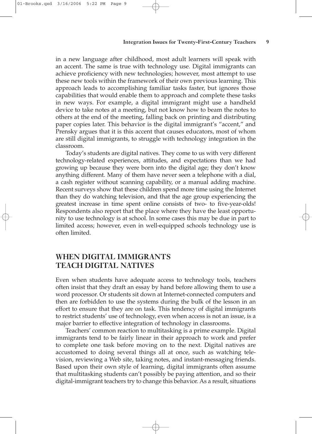#### **Integration Issues for Twenty-First-Century Teachers 9**

in a new language after childhood, most adult learners will speak with an accent. The same is true with technology use. Digital immigrants can achieve proficiency with new technologies; however, most attempt to use these new tools within the framework of their own previous learning. This approach leads to accomplishing familiar tasks faster, but ignores those capabilities that would enable them to approach and complete these tasks in new ways. For example, a digital immigrant might use a handheld device to take notes at a meeting, but not know how to beam the notes to others at the end of the meeting, falling back on printing and distributing paper copies later. This behavior is the digital immigrant's "accent," and Prensky argues that it is this accent that causes educators, most of whom are still digital immigrants, to struggle with technology integration in the classroom.

Today's students are digital natives. They come to us with very different technology-related experiences, attitudes, and expectations than we had growing up because they were born into the digital age; they don't know anything different. Many of them have never seen a telephone with a dial, a cash register without scanning capability, or a manual adding machine. Recent surveys show that these children spend more time using the Internet than they do watching television, and that the age group experiencing the greatest increase in time spent online consists of two- to five-year-olds! Respondents also report that the place where they have the least opportunity to use technology is at school. In some cases this may be due in part to limited access; however, even in well-equipped schools technology use is often limited.

# **WHEN DIGITAL IMMIGRANTS TEACH DIGITAL NATIVES**

Even when students have adequate access to technology tools, teachers often insist that they draft an essay by hand before allowing them to use a word processor. Or students sit down at Internet-connected computers and then are forbidden to use the systems during the bulk of the lesson in an effort to ensure that they are on task. This tendency of digital immigrants to restrict students' use of technology, even when access is not an issue, is a major barrier to effective integration of technology in classrooms.

Teachers' common reaction to multitasking is a prime example. Digital immigrants tend to be fairly linear in their approach to work and prefer to complete one task before moving on to the next. Digital natives are accustomed to doing several things all at once, such as watching television, reviewing a Web site, taking notes, and instant-messaging friends. Based upon their own style of learning, digital immigrants often assume that multitasking students can't possibly be paying attention, and so their digital-immigrant teachers try to change this behavior. As a result, situations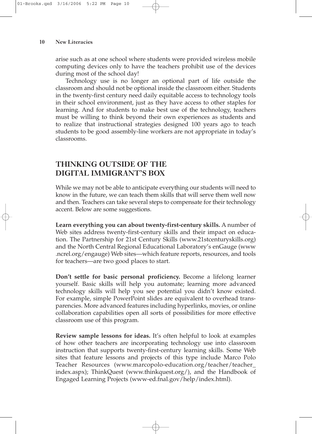#### **10 New Literacies**

arise such as at one school where students were provided wireless mobile computing devices only to have the teachers prohibit use of the devices during most of the school day!

Technology use is no longer an optional part of life outside the classroom and should not be optional inside the classroom either. Students in the twenty-first century need daily equitable access to technology tools in their school environment, just as they have access to other staples for learning. And for students to make best use of the technology, teachers must be willing to think beyond their own experiences as students and to realize that instructional strategies designed 100 years ago to teach students to be good assembly-line workers are not appropriate in today's classrooms.

# **THINKING OUTSIDE OF THE DIGITAL IMMIGRANT'S BOX**

While we may not be able to anticipate everything our students will need to know in the future, we can teach them skills that will serve them well now and then. Teachers can take several steps to compensate for their technology accent. Below are some suggestions.

**Learn everything you can about twenty-first-century skills.** A number of Web sites address twenty-first-century skills and their impact on education. The Partnership for 21st Century Skills (www.21stcenturyskills.org) and the North Central Regional Educational Laboratory's enGauge (www .ncrel.org/engauge) Web sites—which feature reports, resources, and tools for teachers—are two good places to start.

**Don't settle for basic personal proficiency.** Become a lifelong learner yourself. Basic skills will help you automate; learning more advanced technology skills will help you see potential you didn't know existed. For example, simple PowerPoint slides are equivalent to overhead transparencies. More advanced features including hyperlinks, movies, or online collaboration capabilities open all sorts of possibilities for more effective classroom use of this program.

**Review sample lessons for ideas.** It's often helpful to look at examples of how other teachers are incorporating technology use into classroom instruction that supports twenty-first-century learning skills. Some Web sites that feature lessons and projects of this type include Marco Polo Teacher Resources (www.marcopolo-education.org/teacher/teacher\_ index.aspx); ThinkQuest (www.thinkquest.org/), and the Handbook of Engaged Learning Projects (www-ed.fnal.gov/help/index.html).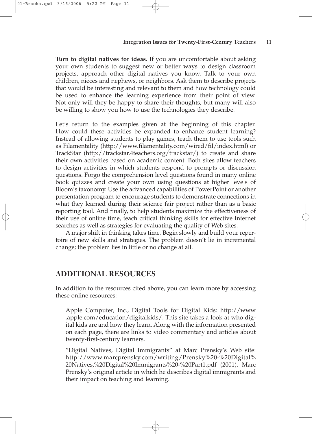#### **Integration Issues for Twenty-First-Century Teachers 11**

**Turn to digital natives for ideas.** If you are uncomfortable about asking your own students to suggest new or better ways to design classroom projects, approach other digital natives you know. Talk to your own children, nieces and nephews, or neighbors. Ask them to describe projects that would be interesting and relevant to them and how technology could be used to enhance the learning experience from their point of view. Not only will they be happy to share their thoughts, but many will also be willing to show you how to use the technologies they describe.

Let's return to the examples given at the beginning of this chapter. How could these activities be expanded to enhance student learning? Instead of allowing students to play games, teach them to use tools such as Filamentality (http://www.filamentality.com/wired/fil/index.html) or TrackStar (http://trackstar.4teachers.org/trackstar/) to create and share their own activities based on academic content. Both sites allow teachers to design activities in which students respond to prompts or discussion questions. Forgo the comprehension level questions found in many online book quizzes and create your own using questions at higher levels of Bloom's taxonomy. Use the advanced capabilities of PowerPoint or another presentation program to encourage students to demonstrate connections in what they learned during their science fair project rather than as a basic reporting tool. And finally, to help students maximize the effectiveness of their use of online time, teach critical thinking skills for effective Internet searches as well as strategies for evaluating the quality of Web sites.

A major shift in thinking takes time. Begin slowly and build your repertoire of new skills and strategies. The problem doesn't lie in incremental change; the problem lies in little or no change at all.

# **ADDITIONAL RESOURCES**

In addition to the resources cited above, you can learn more by accessing these online resources:

Apple Computer, Inc., Digital Tools for Digital Kids: http://www .apple.com/education/digitalkids/. This site takes a look at who digital kids are and how they learn. Along with the information presented on each page, there are links to video commentary and articles about twenty-first-century learners.

"Digital Natives, Digital Immigrants" at Marc Prensky's Web site: http://www.marcprensky.com/writing/Prensky%20-%20Digital% 20Natives,%20Digital%20Immigrants%20-%20Part1.pdf (2001). Marc Prensky's original article in which he describes digital immigrants and their impact on teaching and learning.